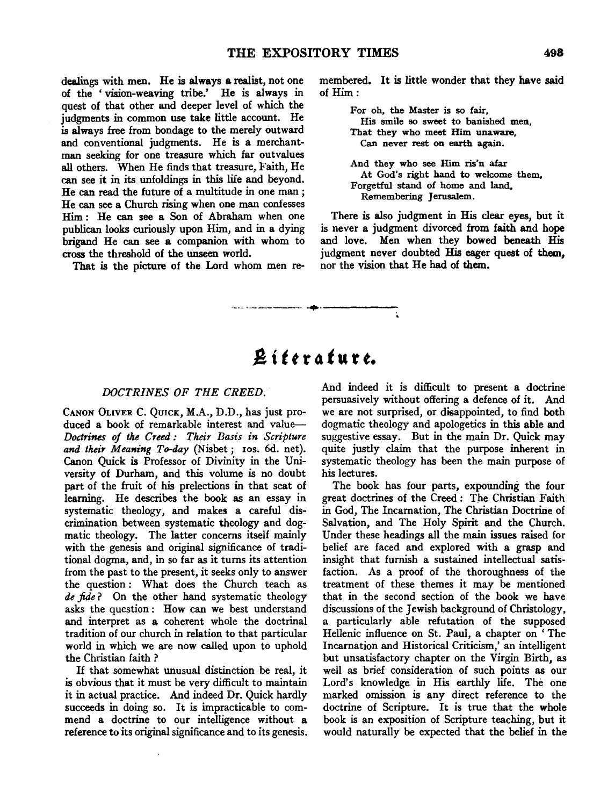dealings with men. He is always a realist, not one of the ' vision-weaving tribe.' He is always in quest of that other and deeper level of which the judgments in common use take little account. He is always free from bondage to the merely outward and conventional judgments. He is a merchantman seeking for one treasure which far outvalues all others. When He finds that treasure, Faith, He can see it in its unfoldings in this life and beyond. He can read the future of a multitude in one man *;*  He can see a Church rising when one man confesses Him : He can see a Son of Abraham when one publican looks curiously upon Him, and in a dying brigand He can see a companion with whom to cross the threshold of the unseen world.

That is the picture of the Lord whom men re-

membered. It is little wonder that they have said of Him:

> For oh, the Master is so fair, His smile so sweet to banished men, That they who meet Him unaware, Can never rest on earth again.

And they who see Him ris'n afar At God's right hand to welcome them, Forgetful stand of home and land, Remembering Jerusalem.

There is also judgment in His clear eyes, but it is never a judgment divorced from faith and hope and love. Men when they bowed beneath His judgment never doubted His eager quest of them, nor the vision that He had of them.

# J! i *t t* r 4 *t* u r *t.*

·--- -·-----··· ·•·------

#### *DOCTRINES OF THE CREED.*

CANON OLIVER C. QuicK, M.A., D.D., has just produced a book of remarkable interest and value-*Doctrines of the Creed : Their Basis in Scripture*  and their Meaning To-day (Nisbet; ros. 6d. net). Canon Quick is Professor of Divinity in the University of Durham, and this volume is no doubt part of the fruit of his prelections in that seat of learning. He describes the book as an essay in systematic theology, and makes a careful discrimination between systematic theology and dogmatic theology. The latter concerns itself mainly with the genesis and original significance of traditional dogma, and, in so far as it turns its attention from the past to the present, it seeks only to answer the question : What does the Church teach as *de fide* ? On the other hand systematic theology asks the question : How can we best understand and interpret as a coherent whole the doctrinal tradition of our church in relation to that particular world in which we are now called upon to uphold the Christian faith ?

If that somewhat unusual distinction be real, it is obvious that it must be very difficult to maintain it in actual practice. And indeed Dr. Quick hardly succeeds in doing so. It is impracticable to commend a doctrine to our intelligence without a reference to its original significance and to its genesis. And indeed it is difficult to present a doctrine persuasively without offering a defence of it. And we are not surprised, or disappointed, to find both dogmatic theology and apologetics in this able and suggestive essay. But in the main Dr. Quick may quite justly claim that the purpose inherent in systematic theology has been the main purpose of his lectures.

The book has four parts, expounding the four great doctrines of the Creed : The Christian Faith in God, The Incarnation, The Christian Doctrine of Salvation, and The Holy Spirit and the Church. Under these headings all the main issues raised for belief are faced and explored with a grasp and insight that furnish a sustained intellectual satisfaction. As a proof of the thoroughness of the treatment of these themes it may be mentioned that in the second section of the book we have discussions of the Jewish background of Christology, a particularly able refutation of the supposed Hellenic influence on St. Paul, a chapter on ' The Incarnation and Historical Criticism,' an intelligent but unsatisfactory chapter on the Virgin Birth, as well as brief consideration of such points as our Lord's knowledge in His earthly life. The one  $\frac{d}{dt}$  can be absorbed omission is any direct reference to the original direct reference to the  $\frac{d}{dt}$ doctrine of Scripture. It is true that the whole book is an exposition of Scripture teaching, but it would naturally be expected that the belief in the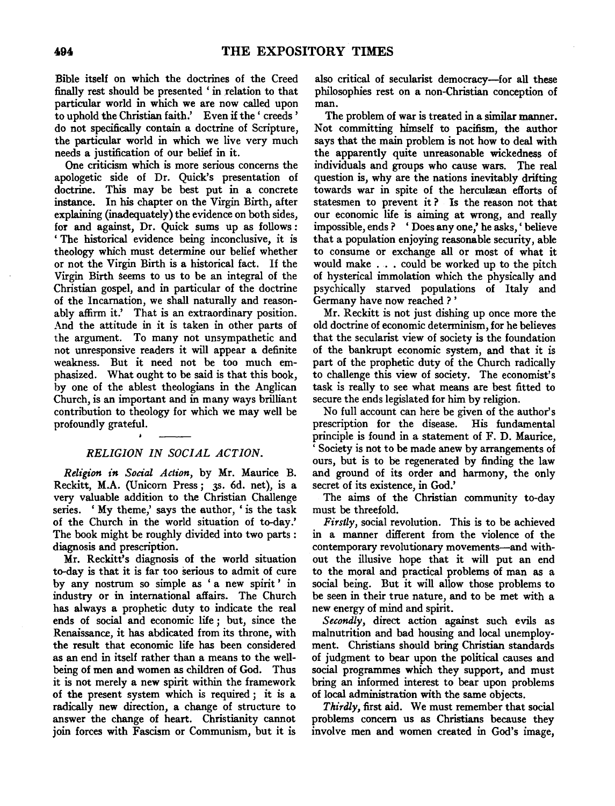Bible itself on which the doctrines of the Creed finally rest should be presented ' in relation to that particular world in which we are now called upon to uphold the Christian faith.' Even if the ' creeds ' do not specifically contain a doctrine of Scripture, the particular world in which we live very much needs a justification of our belief in it.

One criticism which is more serious concerns the apologetic side of Dr. Quick's presentation of doctrine. This may be best put in a concrete instance. In his chapter on the Virgin Birth, after explaining (inadequately) the evidence on both sides, for and against, Dr. Quick sums up as follows: ' The historical evidence being inconclusive, it is theology which must determine our belief whether or not the Virgin Birth is a historical fact. If the Virgin Birth seems to us to be an integral of the Christian gospel, and in particular of the doctrine of the Incarnation, we shall naturally and reasonably affirm it.' That is an extraordinary position. And the attitude in it is taken in other parts of the argument. To many not unsympathetic and not unresponsive readers it will appear a definite weakness. But it need not be too much emphasized. What ought to be said is that this book, by one of the ablest theologians in the Anglican Church, is an important and in many ways brilliant contribution to theology for which we may well be profoundly grateful.

#### *RELIGION IN SOCIAL ACTION.*

*Religion in Social Action*, by Mr. Maurice B. Reckitt, M.A. (Unicorn Press; 3s. 6d. net), is a very valuable addition to the Christian Challenge series. 'My theme,' says the author, 'is the task of the Church in the world situation of to-day.' The book might be roughly divided into two parts : diagnosis and prescription.

Mr. Reckitt's diagnosis of the world situation to-day is that it is far too serious to admit of cure by any nostrum so simple as ' a new spirit ' in industry or in international affairs. The Church has always a prophetic duty to indicate the real ends of social and economic life; but, since the Renaissance, it has abdicated from its throne, with the result that economic life has been considered as an end in itself rather than a means to the wellbeing of men and women as children of God. Thus it is not merely a new spirit within the framework of the present system which is required ; it is a radically new direction, a change of structure to answer the change of heart. Christianity cannot join forces with Fascism or Communism, but it is

also critical of secularist democracy-for all these philosophies rest on a non-Christian conception of man.

The problem of war is treated in a similar manner. Not committing himself to pacifism, the author says that the main problem is not how to deal with the apparently quite unreasonable wickedness of individuals and groups who cause wars. The real question is, why are the nations inevitably drifting towards war in spite of the herculæan efforts of statesmen to prevent it ? Is the reason not that our economic life is aiming at wrong, and really impossible, ends ? ' Does any one,' he asks, ' believe that a population enjoying reasonable security, able to consume or exchange all or most of what it would make . . • could be worked up to the pitch of hysterical immolation which the physically and psychically starved populations of Italy and Germany have now reached?'

Mr. Reckitt is not just dishing up once more the old doctrine of economic determinism, for he believes that the secularist view of society is the foundation of the bankrupt economic system, and that it is part of the prophetic duty of the Church radically to challenge this view of society. The economist's task is really to see what means are best fitted to secure the ends legislated for him by religion.

No full account can here be given of the author's prescription for the disease. His fundamental principle is found in a statement of F. D. Maurice, Society is not to be made anew by arrangements of ours, but is to be regenerated by finding the law and ground of its order and harmony, the only secret of its existence, in God.'

The aims of the Christian community to-day must be threefold.

*Firstly,* social revolution. This is to be achieved in a manner different from the violence of the contemporary revolutionary movements-and without the illusive hope that it will put an end to the moral and practical problems of man as a social being. But it will allow those problems to be seen in their true nature, and to be met with a new energy of mind and spirit.

*Secondly,* direct action against such evils as malnutrition and bad housing and local unemployment. Christians should bring Christian standards of judgment to bear upon the political causes and social programmes which they support, and must bring an informed interest to bear upon problems of local administration with the same objects.

*Thirdly,* first aid. We must remember that social problems concern us as Christians because they involve men and women created in God's image,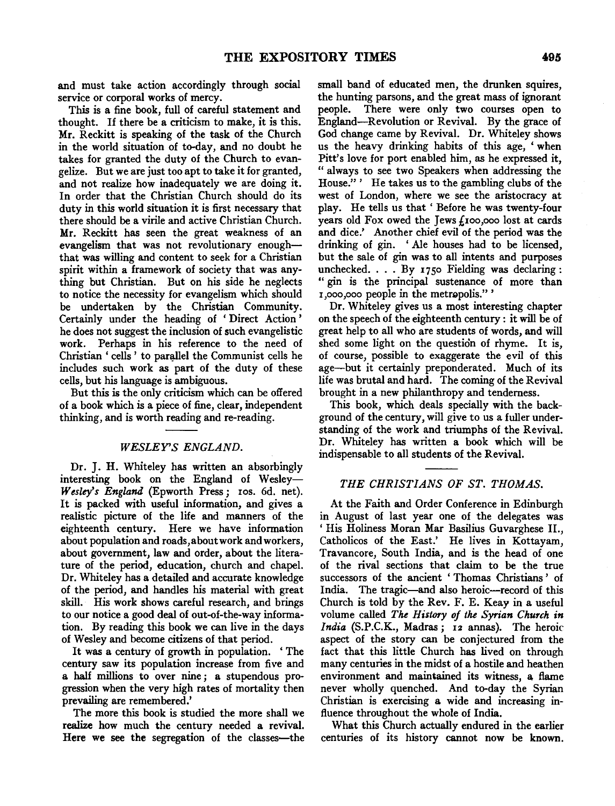and must take action accordingly through social service or corporal works of mercy.

This is a fine book, full of careful statement and thought. If there be a criticism to make, it is this. Mr. Reckitt is speaking of the task of the Church in the world situation of to-day, and no doubt he takes for granted the duty of the Church to evangelize. But we are just too apt to take it for granted, and not realize how inadequately we are doing it. In order that the Christian Church should do its duty in this world situation it is first necessary that there should be a virile and active Christian Church. Mr. Reckitt has seen the great weakness of an evangelism that was not revolutionary enoughthat was willing and content to seek for a Christian spirit within a framework of society that was anything but Christian. But on his side he neglects to notice the necessity for evangelism which should be undertaken by the Christian Community. Certainly under the heading of ' Direct Action ' he does not suggest the inclusion of such evangelistic work. Perhaps in his reference to the need of Christian ' cells ' to parallel the Communist cells he includes such work as part of the duty of these cells, but his language is ambiguous.

But this is the only criticism which can be offered of a book which is a piece of fine, clear, independent thinking, and is worth reading and re-reading.

#### *WESLEY'S ENGLAND.*

Dr. J. H. Whiteley has written an absorbingly interesting book on the England of Wesley-Wesley's England (Epworth Press; ros. 6d. net). It is packed with useful information, and gives a realistic picture of the life and manners of the eighteenth century. Here we have information about population and roads, about work and workers, about government, law and order, about the literature of the period, education, church and chapel. Dr. Whiteley has a detailed and accurate knowledge of the period, and handles his material with great skill. His work shows careful research, and brings to our notice a good deal of out-of-the-way information. By reading this book we can live in the days of Wesley and become citizens of that period.

It was a century of growth in population. 'The century saw its population increase from five and a half millions to over nine ; a stupendous progression when the very high rates of mortality then prevailing are remembered.'

The more this book is studied the more shall we realize how much the century needed a revival. Here we see the segregation of the classes—the small band of educated men, the drunken squires, the hunting parsons, and the great mass of ignorant people. There were only two courses open to England-Revolution or Revival. By the grace of God change came by Revival. Dr. Whiteley shows us the heavy drinking habits of this age, 'when Pitt's love for port enabled him, as he expressed it, " always to see two Speakers when addressing the House." ' He takes us to the gambling clubs of the west of London, where we see the aristocracy at play. He tells us that 'Before he was twenty-four years old Fox owed the Jews  $f_{100,000}$  lost at cards and dice.' Another chief evil of the period was the drinking of gin. 'Ale houses had to be licensed, but the sale of gin was to all intents and purposes unchecked.  $\ldots$  By 1750 Fielding was declaring: " gin is the principal sustenance of more than z,ooo,ooo people in the metrgpolis."'

Dr. Whiteley gives us a most interesting chapter on the speech of the eighteenth century : it will be of great help to all who are students of words, and will shed some light on the question of rhyme. It is, of course, possible to exaggerate the evil of this age-but it certainly preponderated. Much of its life was brutal and hard. The coming of the Revival brought in a new philanthropy and tenderness.

This book, which deals specially with the background of the century, will give to us a fuller understanding of the work and triumphs of the Revival. Dr. Whiteley has written a book which will be indispensable to all students of the Revival.

#### *THE CHRISTIANS OF ST. THOMAS.*

At the Faith and Order Conference in Edinburgh in August of last year one of the delegates was 'His Holiness Moran Mar Basilius Guvarghese II., Catholicos of the East.' He lives in Kottayam, Travancore, South India, and is the head of one of the rival sections that claim to be the true successors of the ancient ' Thomas Christians ' of India. The tragic-and also heroic-record of this Church is told by the Rev. F. E. Keay in a useful volume called *The History of the Syrian Church in India* (S.P.C.K., Madras; 12 annas). The heroic aspect of the story can be conjectured from the fact that this little Church has lived on through many centuries in the midst of a hostile and heathen environment and maintained its witness, a flame never wholly quenched. And to-day the Syrian Christian is exercising a wide and increasing influence throughout the whole of India.

What this Church actually endured in the earlier centuries of its history cannot now be known.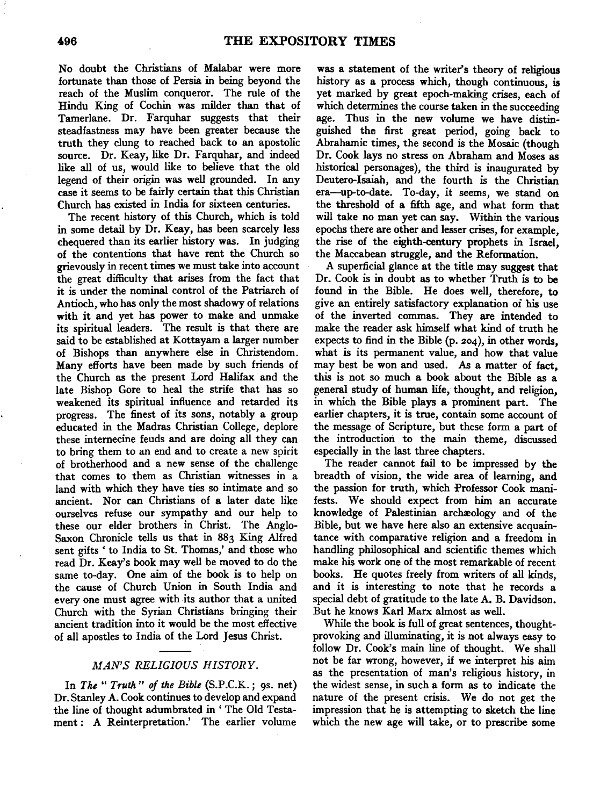No doubt the Christians of Malabar were more fortunate than those of Persia in being beyond the reach of the Muslim conqueror. The rule of the Hindu King of Cochin was milder than that of Tamerlane. Dr. Farquhar suggests that their steadfastness may have been greater because the truth they clung to reached back to an apostolic source. Dr. Keay, like Dr. Farquhar, and indeed like all of us, would like to believe that the old legend of their origin was well grounded. In any case it seems to be fairly certain that this Christian Church has existed in India for sixteen centuries.

The recent history of this Church, which is told in some detail by Dr. Keay, has been scarcely less chequered than its earlier history was. In judging of the contentions that have rent the Church so grievously in recent times we must take into account the great difficulty that arises from the fact that it is under the nominal control of the Patriarch of Antioch, who has only the most shadowy of relations with it and yet has power to make and unmake its spiritual leaders. The result is that there are said to be established at Kottayam a larger number of Bishops than anywhere else in Christendom. Many efforts have been made by such friends of the Church as the present Lord Halifax and the late Bishop Gore to heal the strife that has so weakened its spiritual influence and retarded its progress. The finest of its sons, notably a group educated in the Madras Christian College, deplore these internecine feuds and are doing all they can to bring them to an end and to create a new spirit of brotherhood and a new sense of the challenge that comes to them as Christian witnesses in a land with which they have ties so intimate and so ancient. Nor can Christians of a later date like ourselves refuse our sympathy and our help to these our elder brothers in Christ. The Anglo-Saxon Chronicle tells us that in 883 King Alfred sent gifts ' to India to St. Thomas,' and those who read Dr. Keay's book may well be moved to do the same to-day. One aim of the book is to help on the cause of Church Union in South India and every one must agree with its author that a united Church with the Syrian Christians bringing their ancient tradition into it would be the most effective of all apostles to India of the Lord Jesus Christ.

# *MAN'S RELIGIOUS HISTORY.*

In *The" Truth" of the Bible* (S.P.C.K.; 9s. net) Dr. Stanley A. Cook continues to develop and expand the line of thought adumbrated in ' The Old Testament : A Reinterpretation.' The earlier volume

was a statement of the writer's theory of religious history as a process which, though continuous, is yet marked by great epoch-making crises, each of which determines the course taken in the succeeding age. Thus in the new volume we have distinguished the first great period, going back to Abrahamic times, the second is the Mosaic (though Dr. Cook lays no stress on Abraham and Moses as historical personages), the third is inaugurated by Deutero-Isaiah, and the fourth is the Christian era-up-to-date. To-day, it seems, we stand on the threshold of a fifth age, and what form that will take no man yet can say. Within the various epochs there are other and lesser crises, for example, the rise of the eighth-century prophets in Israel, the Maccabean struggle, and the Reformation.

A superficial glance at the title may suggest that Dr. Cook is in doubt as to whether Truth is to be found in the Bible. He does well, therefore, to give an entirely satisfactory explanation oi his use of the inverted commas. They are intended to make the reader ask himself what kind of truth he expects to find in the Bible (p. 204), in other words, what is its permanent value, and how that value may best be won and used. As a matter of fact, this is not so much a book about the Bible as a general study of human life, thought, and religion, in which the Bible plays a prominent part. The earlier chapters, it is true, contain some account of the message of Scripture, but these form a part of the introduction to the main theme, discussed especially in the last three chapters.

The reader cannot fail to be impressed by the breadth of vision, the wide area of learning, and the passion for truth, which Professor Cook manifests. We should expect from him an accurate knowledge of Palestinian archaeology and of the Bible, but we have here also an extensive acquaintance with comparative religion and a freedom in handling philosophical and scientific themes which make his work one of the most remarkable of recent books. He quotes freely from writers of all kinds, and it is interesting to note that he records a special debt of gratitude to the late A. B. Davidson. But he knows Karl Marx almost as well.

While the book is full of great sentences, thoughtprovoking and illuminating, it is not always easy to follow Dr. Cook's main line of thought. We shall not be far wrong, however, if we interpret his aim as the presentation of man's religious history, in the widest sense, in such a form as to indicate the nature of the present crisis. We do not get the impression that he is attempting to sketch the line which the new age will take, or to prescribe some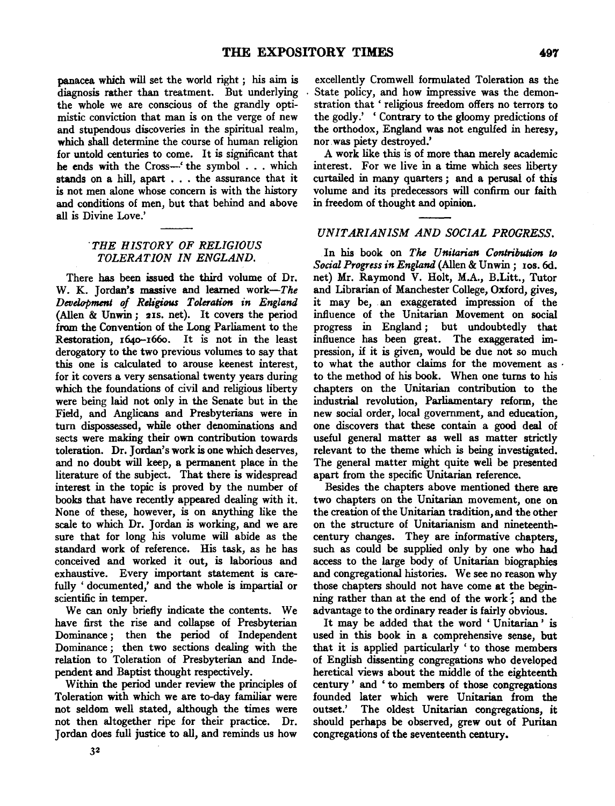panacea which will set the world right ; *his* aim is diagnosis rather than treatment. But underlying the whole we are conscious of the grandly optimistic conviction that man is on the verge of new and stupendous discoveries in the spiritual realm, which shall determine the course of human religion for untold centuries to come. It is significant that he ends with the Cross-' the symbol . . . which stands on a hill, apart . . . the assurance that it is not men alone whose concern is with the history and conditions of men, but that behind and above all is Divine Love.'

### *"THE HISTORY OF RELIGIOUS TOLERATION IN ENGLAND.*

There has been issued the third volume of Dr. W. K. Jordan's massive and learned *work-The Development of Religious Toleration in England*  (Allen & Unwin; 21s. net). It covers the period from the Convention of the Long Parliament to the Restoration, 1640-1660. It is not in the least derogatory to the two previous volumes to say that this one is calculated to arouse keenest interest, for it covers a very sensational twenty years during which the foundations of civil and religious liberty were being laid not only in the Senate but in the Field, and Anglicans and Presbyterians were in turn dispossessed, while other denominations and sects were making their own contribution towards toleration. Dr. Jordan's work is one which deserves, and no doubt will keep, a permanent place in the literature of the subject. That there is widespread interest in the topic is proved by the number of books that have recently appeared dealing with it. None of these, however, is on anything like the scale to which Dr. Jordan is working, and we are sure that for long his volume will abide as the standard work of reference. His task, as he has conceived and worked it out, is laborious and exhaustive. Every important statement is carefully 'documented,' and the whole is impartial or scientific in temper.

We can only briefly indicate the contents. We have first the rise and collapse of Presbyterian Dominance *;* then the period of Independent Dominance ; then two sections dealing with the relation to Toleration of Presbyterian and Independent and Baptist thought respectively.

Within the period under review the principles of Toleration with which we are to-day familiar were not seldom well stated, although the times were not then altogether ripe for their practice. Dr. Jordan does full justice to all, and reminds us how

excellently Cromwell formulated Toleration as the State policy, and how impressive was the demonstration that ' religious freedom offers no terrors to the godly.' ' Contrary to the gloomy predictions of the orthodox, England was not engulfed in heresy, nor. was piety destroyed.'

A work like this is of more than merely academic interest. For we live in a time which sees liberty curtailed in many quarters *;* and a perusal of this volume and its predecessors will confirm our faith in freedom of thought and opinion.

# *UNITARIANISM AND SOCIAL PROGRESS.*

In his book on *The Unitarian Contribution to Social Progress in England* (Allen & Unwin; Ios. 6d. net) Mr. Raymond V. Holt, M.A., B.Litt., Tutor and Librarian of Manchester College, Oxford, gives, it may be, an exaggerated impression of the influence of the Unitarian Movement on social progress in England *;* but undoubtedly that influence has been great. The exaggerated impression, if it is given, would be due not so much to what the author claims for the movement as · to the method of his book. When one turns to his chapters on the Unitarian contribution to the industrial revolution, Parliamentary reform, the new social order, local government, and education, one discovers that these contain a good deal of useful general matter as well as matter strictly relevant to the theme which is being investigated. The general matter might quite well be presented apart from the specific Unitarian reference.

Besides the chapters above mentioned there are two chapters on the Unitarian movement, one on the creation of the Unitarian tradition, and the other on the structure of Unitarianism and nineteenthcentury changes. They are informative chapters, such as could be supplied only by one who had access to the large body of Unitarian biographies and congregational histories. We see no reason why those chapters should not have come at the beginning rather than at the end of the work:; and the advantage to the ordinary reader is fairly obvious.

It may be added that the word ' Unitarian ' is used in this book in a comprehensive sense, but that it is applied particularly ' to those members of English dissenting congregations who developed heretical views about the middle of the eighteenth century' and 'to members of those congregations founded later which were Unitarian from the outset.' The oldest Unitarian congregations, it should perhaps be observed, grew out of Puritan congregations of the seventeenth century.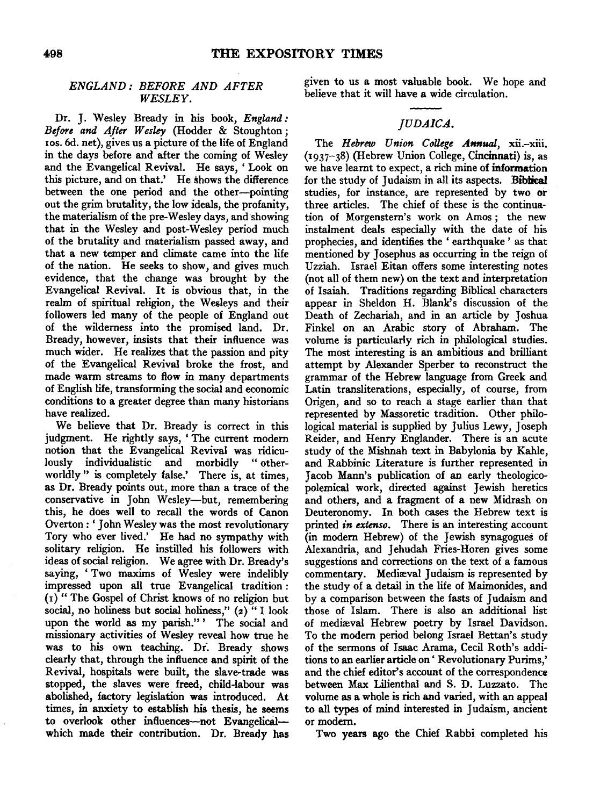# *ENGLAND: BEFORE AND AFTER*

*ENGLAND: BEFORE AND AFTER* 

Dr. J. Wesley Bready in his book, England: Before and After Wesley (Hodder & Stoughton; ros. 6d. net), gives us a picture of the life of England in the days before and after the coming of Wesley and the Evangelical Revival. He says, 'Look on this picture, and on that.' He shows the difference between the one period and the other--pointing out the grim brutality, the low ideals, the profanity, the materialism of the pre-Wesley days, and showing that in the Wesley and post-Wesley period much of the brutality and materialism passed away, and that a new temper and climate came into the life e nation. He seeks to show, and gives much  $\Gamma$ <br>ence that the change was brought by the  $\Gamma$ evidence, that the change was brought by the Evangelical Revival. It is obvious that, in the realm of spiritual religion, the Wesleys and their followers led many of the people of England out of the wilderness into the promised land. Dr. Bready, however, insists that their influence was much wider. He realizes that the passion and pity of the Evangelical Revival broke the frost, and made warm streams to flow in many departments of English life, transforming the social and economic have the realized.<br>itions to a great we be a greater degree than many insterlates have realized.<br>We believe that Dr. Bready is correct in this

judgment. He rightly says, 'The current modern notion that the Evangelical Revival was ridiculously individualistic and morbidly "otherworldly" is completely false.' There is, at times. as Dr. Bready points out, more than a trace of the conservative in John Wesley-but, remembering this, he does well to recall the words of Canon Overton: 'John Wesley was the most revolutionary Tory who ever lived.' He had no sympathy with solitary religion. He instilled his followers with ideas of social religion. We agree with Dr. Bready's saying, 'Two maxims of Wesley were indelibly impressed upon all true Evangelical tradition: (1) " The Gospel of Christ knows of no religion but social, no holiness but social holiness,"  $(z)$  "I look upon the world as my parish." ' The social and missionary activities of Wesley reveal how true he was to his own teaching. Dr. Bready shows clearly that, through the influence and spirit of the Revival, hospitals were built, the slave-trade was stopped, the slaves were freed, child-labour was abolished, factory legislation was introduced. At times, in anxiety to establish his thesis, he seems to overlook other influences-not Evangelical- or modern. which made their contribution. Dr. Bready has

 $\overline{D}$ *DETORE AND APTER* believe that it will have a wide circulation. given to us a most valuable book. We hope and

*JUDAICA.* 

### $IUDAICA.$

The Hebrew Union College Annual, xii.-xiii.  $(1937-38)$  (Hebrew Union College, Cincinnati) is, as we have learnt to expect, a rich mine of information for the study of Judaism in all its aspects. Biblical studies, for instance, are represented by two or three articles. The chief of these is the continuation of Morgenstern's work on Amos: the new instalment deals especially with the date of his prophecies, and identifies the 'earthquake' as that mentioned by Josephus as occurring in the reign of Uzziah. Israel Eitan offers some interesting notes (not all of them new) on the text and interpretation of Isaiah. Traditions regarding Biblical characters appear in Sheldon H. Blank's discussion of the Death of Zechariah, and in an article by Joshua Finkel on an Arabic story of Abraham. The volume is particularly rich in philological studies. The most interesting is an ambitious and brilliant attempt by Alexander Sperber to reconstruct the grammar of the Hebrew language from Greek and Latin transliterations, especially, of course, from Origen, and so to reach a stage earlier than that represented by Massoretic tradition. Other philological material is supplied by Julius Lewy, Joseph Reider, and Henry Englander. There is an acute study of the Mishnah text in Babylonia by Kahle, and Rabbinic Literature is further represented in Jacob Mann's publication of an early theologicopolemical work, directed against Jewish heretics and others, and a fragment of a new Midrash on Deuteronomy. In both cases the Hebrew text is printed in extenso. There is an interesting account (in modern Hebrew) of the Jewish synagogues of Alexandria, and Jehudah Fries-Horen gives some suggestions and corrections on the text of a famous commentary. Mediæval Judaism is represented by the study of a detail in the life of Maimonides, and by a comparison between the fasts of Judaism and those of Islam. There is also an additional list of mediaval Hebrew poetry by Israel Davidson. To the modern period belong Israel Bettan's study of the sermons of Isaac Arama, Cecil Roth's additions to an earlier article on 'Revolutionary Purims,' and the chief editor's account of the correspondence between Max Lilienthal and S. D. Luzzato. The volume as a whole is rich and varied, with an appeal  $\frac{110}{2}$  modes in  $\frac{110}{2}$ Types of mind interested in Judaism, ancient

Two years ago the Chief Rabbi completed his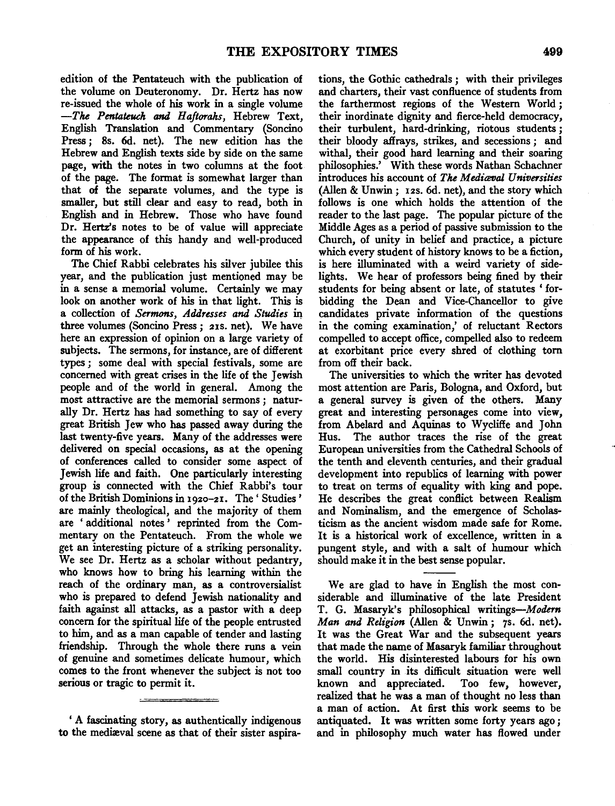edition of the Pentateuch with the publication of the volume on Deuteronomy. Dr. Hertz has now re-issued the whole of his work in a single volume *-The Pentateuch and Haftorahs,* Hebrew Text, English Translation and Commentary (Soncino Press; Ss. 6d. net). The new edition has the Hebrew and English texts side by side on the same page, with the notes in two columns at the foot of the page. The format is somewhat larger than that of the separate volumes, and the type is smaller, but still clear and easy to read, both in English and in Hebrew. Those who have found Dr. Hertz's notes to be of value will appreciate the appearance of this handy and well-produced form of his work.

The Chief Rabbi celebrates his silver jubilee this year, and the publication just mentioned may be in a sense a memorial volume. Certainly we may look on another work of his in that light. This is a collection of *Sermons*, Addresses and Studies in three volumes (Soncino Press; 21S. net). We have here an expression of opinion on a large variety of subjects. The sermons, for instance, are of different types; some deal with special festivals, some are concerned with great crises in the life of the Jewish people and of the world in general. Among the most attractive are the memorial sermons ; naturally Dr. Hertz has had something to say of every great British Jew who has passed away during the last twenty-five years. Many of the addresses were delivered on special occasions, as at the opening of conferences called to consider some aspect of Jewish life and faith. One particularly interesting group is connected with the Chief Rabbi's tour of the British Dominions in 1920-21. The' Studies' are mainly theological, and the majority of them are ' additional notes ' reprinted from the Commentary on the Pentateuch. From the whole we get an interesting picture of a striking personality. We see Dr. Hertz as a scholar without pedantry, who knows how to bring his learning within the reach of the ordinary man, as a controversialist who is prepared to defend Jewish nationality and faith against all attacks, as a pastor with a deep concern for the spiritual life of the people entrusted to him, and as a man capable of tender and lasting friendship. Through the whole there runs a vein of genuine and sometimes delicate humour, which comes to the front whenever the subject is not too serious or tragic to permit it.

'A fascinating story, as authentically indigenous to the mediaval scene as that of their sister aspirations, the Gothic cathedrals ; with their privileges and charters, their vast confluence of students from the farthermost regions of the Western World; their inordinate dignity and fierce-held democracy, their turbulent, hard-drinking, riotous students ; their bloody affrays, strikes, and secessions; and withal, their good hard learning and their soaring philosophies.' With these words Nathan Schachner introduces his account of *The Mediaval Universities* (Alien & Unwin ; 12s. 6d. net), and the story which follows is one which holds the attention of the reader to the last page. The popular picture of the Middle Ages as a period of passive submission to the Church, of unity in belief and practice, a picture which every student of history knows to be a fiction, is here illuminated with a weird variety of sidelights. We hear of professors being fined by their students for being absent or late, of statutes ' forbidding the Dean and Vice-Chancellor to give candidates private information of the questions in the coming examination,' of reluctant Rectors compelled to accept office, compelled also to redeem at exorbitant price every shred of clothing tom from off their back.

The universities to which the writer has devoted most attention are Paris, Bologna, and Oxford, but a general survey is given of the others. Many great and interesting personages come into view, from Abelard and Aquinas to Wycliffe and John Hus. The author traces the rise of the great European universities from the Cathedral Schools of the tenth and eleventh centuries, and their gradual development into republics of learning with power to treat on terms of equality with king and pope. He describes the great conflict between Realism and Nominalism, and the emergence of Scholasticism as the ancient wisdom made safe for Rome. It is a historical work of excellence, written in a pungent style, and with a salt of humour which should make it in the best sense popular.

We are glad to have in English the most considerable and illuminative of the late President T. G. Masaryk's philosophical writings-Modern *Man and Religion* (Alien & Unwin; 7s. 6d. net). It was the Great War and the subsequent years that made the name of Masaryk familiar throughout the world. His disinterested labours for his own small country in its difficult situation were well known and appreciated. Too few, however, realized that he was a man of thought no less than a man of action. At first this work seems to be antiquated. It was written some forty years ago ; and in philosophy much water has flowed under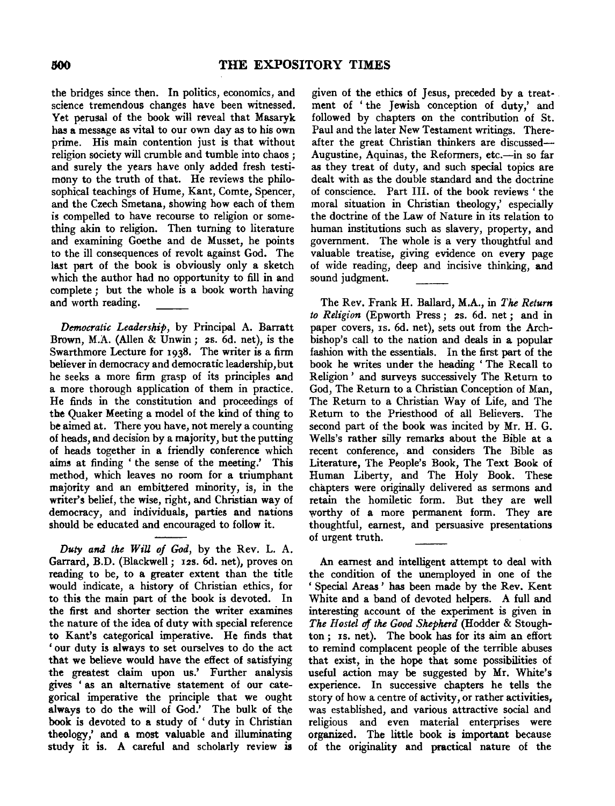the bridges since then. In politics, economics, and science tremendous changes have been witnessed. Yet perusal of the book will reveal that Masaryk has a message as vital to our own day as to his own prime. His main contention just is that without religion society will crumble and tumble into chaos ; and surely the years have only added fresh testimony to the truth of that. He reviews the philosophical teachings of Hume, Kant, Comte, Spencer, and the Czech Smetana, showing how each of them is compelled to have recourse to religion or something akin to religion. Then turning to literature and examining Goethe and de Musset, he points to the ill consequences of revolt against God. The last part of the book is obviously only a sketch which the author had no opportunity to fill in and complete; but the whole is a book worth having and worth reading.

*Democratic Leadership,* by Principal A. Barratt Brown, M.A. (Alien & Unwin; 2s. 6d. net), is the Swarthmore Lecture for 1938. The writer is a firm believer in democracy and democratic leadership, but he seeks a more firm grasp of its principles and a more thorough application of them in practice. He finds in the constitution and proceedings of the Quaker Meeting a model of the kind of thing to be aimed at. There you have, not merely a counting of heads, and decision by a majority, but the putting of heads together in a friendly conference which aims at finding ' the sense of the meeting.' This method, which leaves no room for a triumphant majority and an embittered minority, is, in the writer's belief, the wise, right, and Christian way of democracy, and individuals, parties and nations should be educated and encouraged to follow it.

*Duty and the WiU of God,* by the Rev. L. A. Garrard, B.D. (Blackwell; 12s. 6d. net), proves on reading to be, to a greater extent than the title would indicate, a history of Christian ethics, for to this the main part of the book is devoted. In the first and shorter section the writer examines the nature of the idea of duty with special reference to Kant's categorical imperative. He finds that 'our duty is always to set ourselves to do the act that we believe would have the effect of satisfying the greatest claim upon us.' Further analysis gives ' as an alternative statement of our categorical imperative the principle that we ought always to do the will of God.' The bulk of the book is devoted to a study of ' duty in Christian theology,' and a most valuable and illuminating study it is. A careful and scholarly review is

given of the ethics of Jesus, preceded by a treatment of ' the Jewish conception of duty,' and followed by chapters on the contribution of St. Paul and the later New Testament writings. Thereafter the great Christian thinkers are discussed-Augustine, Aquinas, the Reformers, etc.-in so far as they treat of duty, and such special topics are dealt with as the double standard and the doctrine of conscience. Part Ill. of the book reviews ' the moral situation in Christian theology,' especially the doctrine of the Law of Nature in its relation to human institutions such as slavery, property, and government. The whole is a very thoughtful and valuable treatise, giving evidence on every page of wide reading, deep and incisive thinking, and sound judgment.

The Rev. Frank H. Ballard, M.A., in *The Return to Religion* (Epworth Press ; 2s. 6d. net ; and in paper covers, IS. 6d. net), sets out from the Archbishop's call to the nation and deals in a popular fashion with the essentials. In the first part of the book he writes under the heading ' The Recall to Religion ' and surveys successively The Return to God, The Return to a Christian Conception of Man, The Return to a Christian Way of Life, and The Return to the Priesthood of all Believers. The second part of the book was incited by Mr. H. G. Wells's rather silly remarks about the Bible at a recent conference, and considers The Bible as Literature, The People's Book, The Text Book of Human Liberty, and The Holy Book. These chapters were originally delivered as sermons and retain the homiletic form. But they are well worthy of a more permanent form. They are thoughtful, earnest, and persuasive presentations of urgent truth.

An earnest and intelligent attempt to deal with the condition of the unemployed in one of the 'Special Areas' has been made by the Rev. Kent White and a band of devoted helpers. A full and interesting account of the experiment is given in *The Hostel uf the Good Shepherd* (Hodder & Stoughton; IS. net). The book has for its aim an effort to remind complacent people of the terrible abuses that exist, in the hope that some possibilities of useful action may be suggested by Mr. White's experience. In successive chapters he tells the story of how a centre of activity, or rather activities, was established, and various attractive social and religious and even material enterprises were organized. The little book is important because of the originality and practical nature of the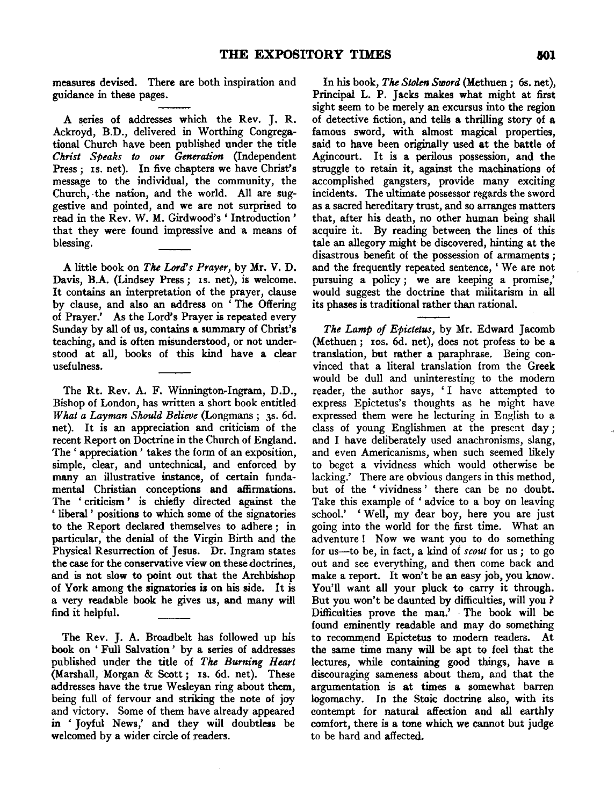measures devised. There are both inspiration and guidance in these pages.

A series of addresses which the Rev. J. R. Ackroyd, B.D., delivered in Worthing Congregational Church have been published under the title *Christ Speaks to our Generation* (Independent Press; Is. net). In five chapters we have Christ's message to the individual, the community, the Church, the nation, and the world. All are suggestive and pointed, and we are not surprised to read in the Rev. W. M. Girdwood's 'Introduction' that they were found impressive and a means of blessing.

A little book on *The Lord's Prayer,* by Mr. V. D. Davis, B.A. (Lindsey Press; Is. net), is welcome. It contains an interpretation of the prayer, clause by clause, and also an address on 'The Offering of Prayer.' As the Lord's Prayer is repeated every Sunday by all of us, contains a summary of Christ's teaching, and is often misunderstood, or not understood at all, books of this kind have a clear usefulness.

The Rt. Rev. A. F. Winnington~Ingram, D.D., Bishop of London, has written a short book entitled *What a Layman Should Believe* (Longmans; 3s. 6d. net). It is an appreciation and criticism of the recent Report on Doctrine in the Church of England. The ' appreciation ' takes the form of an exposition, simple, clear, and untechnical, and enforced by many an illustrative instance, of certain fundamental Christian conceptions and affirmations. The ' criticism ' is chiefly directed against the ' liberal ' positions to which some of the signatories to the Report declared themselves to adhere ; in particular, the denial of the Virgin Birth and the Physical Resurrection of Jesus. Dr. Ingram states the case for the conservative view on these doctrines, and is not slow to point out that the Archbishop of York among the signatories is on his side. It is a very readable book he gives us, and many will find it helpful.

The Rev. J. A. Broadbelt has followed up his book on ' Full Salvation ' by a series of addresses published under the title of *The Burning Heart*  (Marshall, Morgan & Scott; xs. 6d. net). These addresses have the true Wesleyan ring about them, being full of fervour and striking the note of joy and victory. Some of them have already appeared in 'Joyful News,' and they will doubtless be welcomed by a wider circle of readers.

In his book, *The Stolen Sword* (Methuen; 6s. net), Principal L. P. Jacks makes what might at first sight seem to be merely an excursus into the region of detective fiction, and tells a thrilling story of a famous sword, with almost magical properties, said to have been originally used at the battle of Agincourt. It is a perilous possession, and the struggle to retain it, against the machinations of accomplished gangsters, provide many exciting incidents. The ultimate possessor regards the sword as a sacred hereditary trust, and so arranges matters that, after his death, no other human being shall acquire it. By reading between the lines of this tale an allegory might be discovered, hinting at the disastrous benefit of the possession of armaments ; and the frequently repeated sentence, 'We are not pursuing a policy; we are keeping a promise,' would suggest the doctrine that militarism in all its phases is traditional rather than rational.

*The Lamp of Epictetus,* by Mr. Edward Jacomb (Methuen; xos. 6d. net), does not profess to be a translation, but rather a paraphrase. Being convinced that a literal translation from the Greek would be dull and uninteresting to the modem reader, the author says, 'I have attempted to express Epictetus's thoughts as he might have expressed them were he lecturing in English to a class of young Englishmen at the present day ; and I have deliberately used anachronisms, slang, and even Americanisms, when such seemed likely to beget a vividness which would otherwise be lacking.' There are obvious dangers in this method, but of the ' vividness' there can be no doubt. Take this example of 'advice to a boy on leaving school.' 'Well, my dear boy, here you are just going into the world for the first time. What an adventure! Now we want you to do something for us-to be, in fact, a kind of *scout* for us; to go out and see everything, and then come back and make a report. It won't be an easy job, you know. You'll want all your pluck to carry it through. But you won't be daunted by difficulties, will you ? Difficulties prove the man.' · The book will be found eminently readable and may do something to recommend Epictetus to modern readers. At the same time many will be apt to feel that the lectures, while containing good things, have a discouraging sameness about them, and that the argumentation is at times a. somewhat barren logomachy. In the Stoic doctrine also, with its contempt for natural affection and all earthly comfort, there is a tone which we cannot but judge to be hard and affected.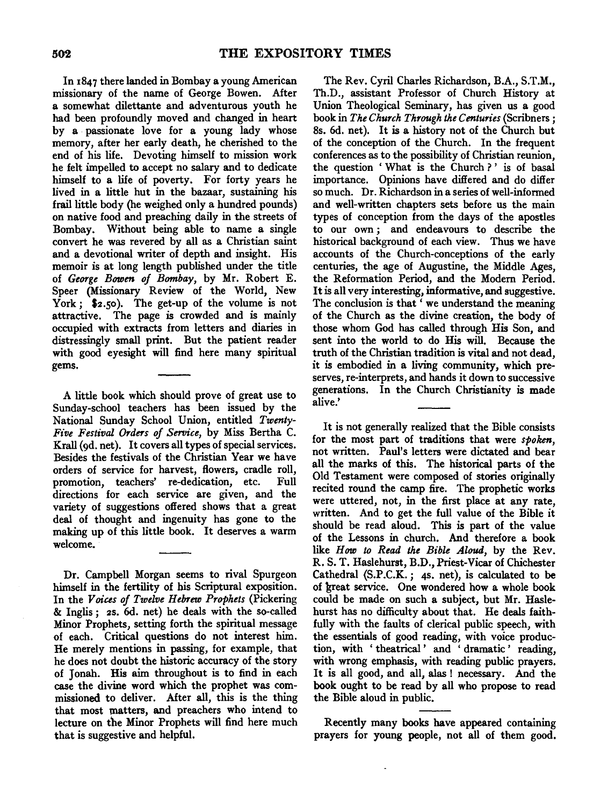In 1847 there landed in Bombay a young American missionary of the name of George Bowen. After a somewhat dilettante and adventurous youth he had been profoundly moved and changed in heart by a passionate love for a young lady whose memory, after her early death, he cherished to the end of his life. Devoting himself to mission work he felt impelled to accept no salary and to dedicate himself to a life of poverty. For forty years he lived in a little hut in the bazaar, sustaining his frail little body (he weighed only a hundred pounds) on native food and preaching daily in the streets of Bombay. Without being able to name a single convert he was revered by all as a Christian saint and a devotional writer of depth and insight. His memoir is at long length published under the title of *George Bowen of Bombay*, by Mr. Robert E. Speer (Missionary Review of the World, New York; \$2.50). The get-up of the volume is not attractive. The page is crowded and is mainly occupied with extracts from letters and diaries in distressingly small print. But the patient reader with good eyesight will find here many spiritual gems.

A little book which should prove of great use to Sunday-school teachers has been issued by the National Sunday School Union, entitled *Twenty-Five Festival Orders of Service,* by Miss Bertha C. Krall (9d. net). It covers all types of special services. Besides the festivals of the Christian Year we have orders of service for harvest, flowers, cradle roll, promotion, teachers' re-dedication, etc. Full directions for each service are given, and the variety of suggestions offered shows that a great deal of thought and ingenuity has gone to the making up of this little book. It deserves a warm welcome.

Dr. Campbell Morgan seems to rival Spurgeon himself in the fertility of his Scriptural exposition. In the *Voices of Twelve Hebrew Prophets* (Pickering & Inglis; 2s. 6d. net) he deals with the so-called Minor Prophets, setting forth the spiritual message of each. Critical questions do not interest him. He merely mentions in passing, for example, that he does not doubt the historic accuracy of the story of Jonah. His aim throughout is to find in each case the divine word which the prophet was commissioned to deliver. After all, this is the thing that most matters, and preachers who intend to lecture on the Minor Prophets will find here much that is suggestive and helpful.

The Rev. Cyril Charles Richardson, B.A., S.T.M., Th.D., assistant Professor of Church History at Union Theological Seminary, has given us a good book in *The Church Through the Centuries* (Scribners; 8s. 6d. net). It is a history not of the Church but of the conception of the Church. In the frequent conferences as to the possibility of Christian reunion, the question ' What is the Church ? ' is of basal importance. Opinions have differed and do differ so much. Dr. Richardson in a series of well-informed and well-written chapters sets before us the main types of conception from the days of the apostles to our own ; and endeavours to describe the historical background of each view. Thus we have accounts of the Church-conceptions of the early centuries, the age of Augustine, the Middle Ages, the Reformation Period, and the Modem Period. It is all very interesting, informative, and suggestive. The conclusion is that ' we understand the meaning of the Church as the divine creation, the body of those whom God has called through His Son, and sent into the world to do His will. Because the truth of the Christian tradition is vital and not dead, it is embodied in a living community, which preserves, re-interprets, and hands it down to successive generations. In the Church Christianity is made alive.'

It is not generally realized that the Bible consists for the most part of traditions that were *spoken,*  not written. Paul's letters were dictated and bear all the marks of this. The historical parts of the Old Testament were composed of stories originally recited round the camp fire. The prophetic works were uttered, not, in the first place at any rate, written. And to get the full value of the Bible it should be read aloud. This is part of the value of the Lessons in church. And therefore a book like *How to Read the Bible Aloud*, by the Rev. R. S. T. Haslehurst, B.D., Priest-Vicar of Chichester Cathedral (S.P.C.K.; 4s. net), is calculated to be of great service. One wondered how a whole book could be made on such a subject, but Mr. Haslehurst has no difficulty about that. He deals faithfully with the faults of clerical public speech, with the essentials of good reading, with voice production, with ' theatrical ' and ' dramatic ' reading, with wrong emphasis, with reading public prayers. It is all good, and all, alas ! necessary. And the book ought to be read by all who propose to read the Bible aloud in public.

Recently many books have appeared containing prayers for young people, not all of them good.